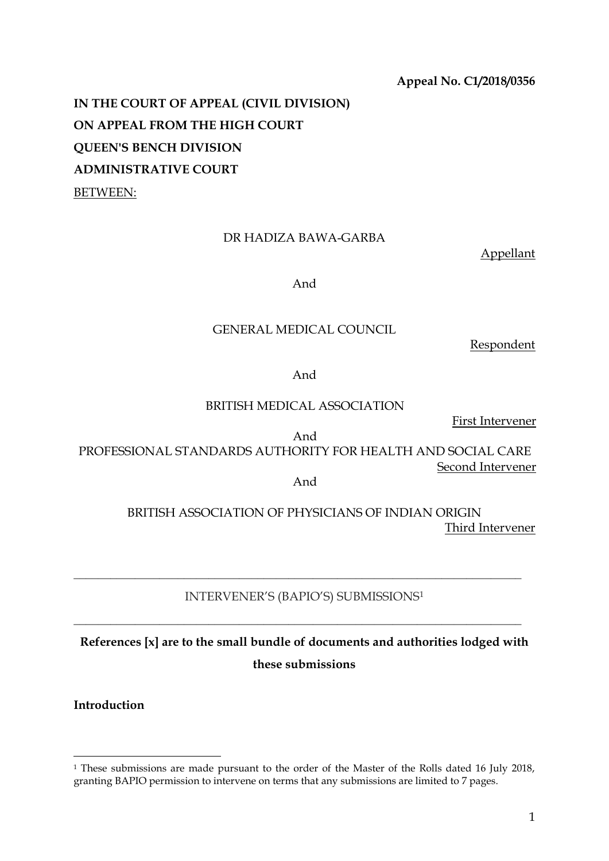# **Appeal No. C1/2018/0356**

**IN THE COURT OF APPEAL (CIVIL DIVISION) ON APPEAL FROM THE HIGH COURT QUEEN'S BENCH DIVISION ADMINISTRATIVE COURT** BETWEEN:

# DR HADIZA BAWA-GARBA

Appellant

And

## GENERAL MEDICAL COUNCIL

Respondent

And

BRITISH MEDICAL ASSOCIATION

First Intervener

And

PROFESSIONAL STANDARDS AUTHORITY FOR HEALTH AND SOCIAL CARE Second Intervener

And

# BRITISH ASSOCIATION OF PHYSICIANS OF INDIAN ORIGIN Third Intervener

# INTERVENER'S (BAPIO'S) SUBMISSIONS<sup>1</sup>

\_\_\_\_\_\_\_\_\_\_\_\_\_\_\_\_\_\_\_\_\_\_\_\_\_\_\_\_\_\_\_\_\_\_\_\_\_\_\_\_\_\_\_\_\_\_\_\_\_\_\_\_\_\_\_\_\_\_\_\_\_\_\_\_\_\_\_\_\_\_\_\_\_

\_\_\_\_\_\_\_\_\_\_\_\_\_\_\_\_\_\_\_\_\_\_\_\_\_\_\_\_\_\_\_\_\_\_\_\_\_\_\_\_\_\_\_\_\_\_\_\_\_\_\_\_\_\_\_\_\_\_\_\_\_\_\_\_\_\_\_\_\_\_\_\_\_

**References [x] are to the small bundle of documents and authorities lodged with these submissions**

**Introduction** 

**.** 

<sup>&</sup>lt;sup>1</sup> These submissions are made pursuant to the order of the Master of the Rolls dated 16 July 2018, granting BAPIO permission to intervene on terms that any submissions are limited to 7 pages.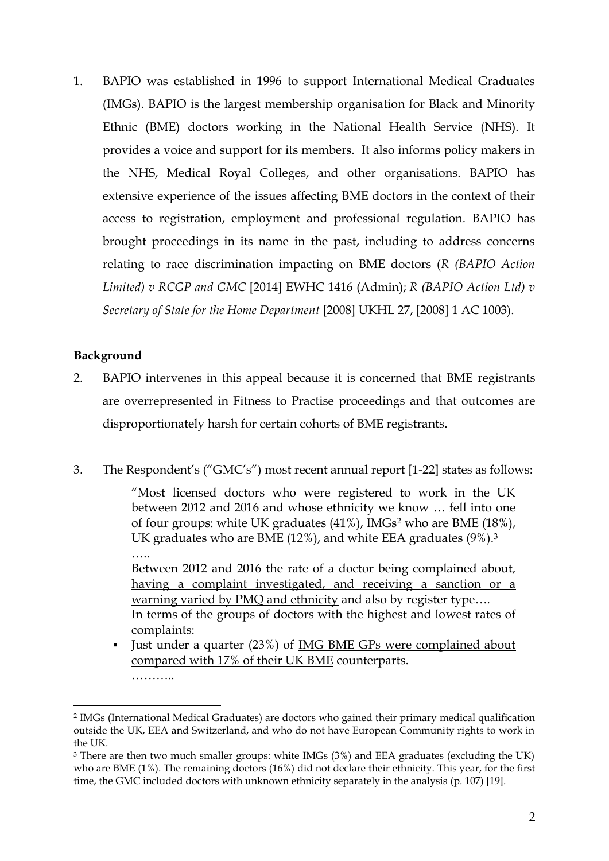1. BAPIO was established in 1996 to support International Medical Graduates (IMGs). BAPIO is the largest membership organisation for Black and Minority Ethnic (BME) doctors working in the National Health Service (NHS). It provides a voice and support for its members. It also informs policy makers in the NHS, Medical Royal Colleges, and other organisations. BAPIO has extensive experience of the issues affecting BME doctors in the context of their access to registration, employment and professional regulation. BAPIO has brought proceedings in its name in the past, including to address concerns relating to race discrimination impacting on BME doctors (*R (BAPIO Action Limited) v RCGP and GMC* [2014] EWHC 1416 (Admin); *R (BAPIO Action Ltd) v Secretary of State for the Home Department* [2008] UKHL 27, [2008] 1 AC 1003).

# **Background**

…..

**.** 

- 2. BAPIO intervenes in this appeal because it is concerned that BME registrants are overrepresented in Fitness to Practise proceedings and that outcomes are disproportionately harsh for certain cohorts of BME registrants.
- 3. The Respondent's ("GMC's") most recent annual report [1-22] states as follows:

"Most licensed doctors who were registered to work in the UK between 2012 and 2016 and whose ethnicity we know … fell into one of four groups: white UK graduates (41%), IMGs<sup>2</sup> who are BME (18%), UK graduates who are BME (12%), and white EEA graduates (9%).<sup>3</sup>

Between 2012 and 2016 the rate of a doctor being complained about, having a complaint investigated, and receiving a sanction or a warning varied by PMQ and ethnicity and also by register type…. In terms of the groups of doctors with the highest and lowest rates of complaints:

 Just under a quarter (23%) of IMG BME GPs were complained about compared with 17% of their UK BME counterparts. ……………

<sup>2</sup> IMGs (International Medical Graduates) are doctors who gained their primary medical qualification outside the UK, EEA and Switzerland, and who do not have European Community rights to work in the UK.

<sup>3</sup> There are then two much smaller groups: white IMGs (3%) and EEA graduates (excluding the UK) who are BME (1%). The remaining doctors (16%) did not declare their ethnicity. This year, for the first time, the GMC included doctors with unknown ethnicity separately in the analysis (p. 107) [19].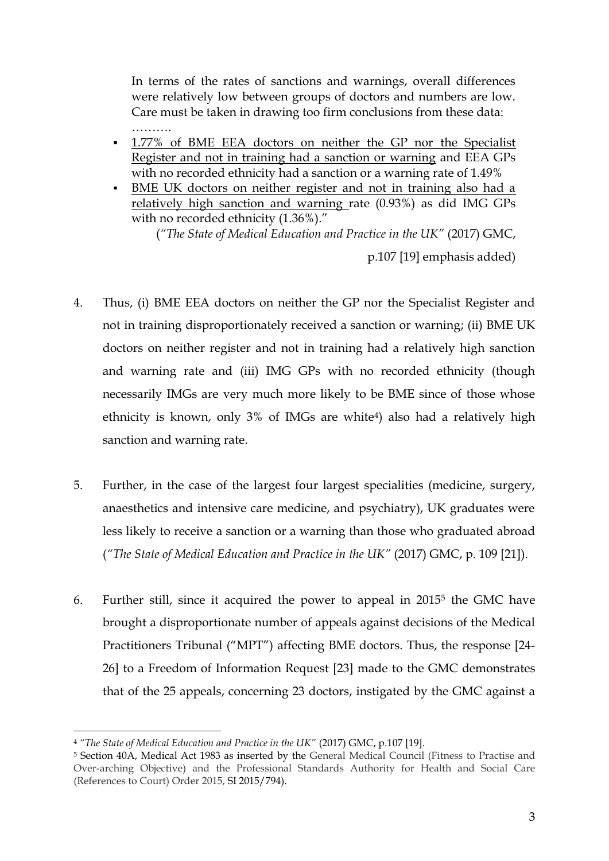In terms of the rates of sanctions and warnings, overall differences were relatively low between groups of doctors and numbers are low. Care must be taken in drawing too firm conclusions from these data: ………

- 1.77% of BME EEA doctors on neither the GP nor the Specialist Register and not in training had a sanction or warning and EEA GPs with no recorded ethnicity had a sanction or a warning rate of 1.49%
- BME UK doctors on neither register and not in training also had a relatively high sanction and warning rate (0.93%) as did IMG GPs with no recorded ethnicity (1.36%)."

(*"The State of Medical Education and Practice in the UK"* (2017) GMC,

p.107 [19] emphasis added)

- 4. Thus, (i) BME EEA doctors on neither the GP nor the Specialist Register and not in training disproportionately received a sanction or warning; (ii) BME UK doctors on neither register and not in training had a relatively high sanction and warning rate and (iii) IMG GPs with no recorded ethnicity (though necessarily IMGs are very much more likely to be BME since of those whose ethnicity is known, only 3% of IMGs are white<sup>4</sup>) also had a relatively high sanction and warning rate.
- 5. Further, in the case of the largest four largest specialities (medicine, surgery, anaesthetics and intensive care medicine, and psychiatry), UK graduates were less likely to receive a sanction or a warning than those who graduated abroad (*"The State of Medical Education and Practice in the UK"* (2017) GMC, p. 109 [21]).
- 6. Further still, since it acquired the power to appeal in 2015<sup>5</sup> the GMC have brought a disproportionate number of appeals against decisions of the Medical Practitioners Tribunal ("MPT") affecting BME doctors. Thus, the response [24- 26] to a Freedom of Information Request [23] made to the GMC demonstrates that of the 25 appeals, concerning 23 doctors, instigated by the GMC against a

**.** 

<sup>&</sup>lt;sup>4</sup> "The State of Medical Education and Practice in the UK" (2017) GMC, p.107 [19].

<sup>5</sup> Section 40A, Medical Act 1983 as inserted by the General Medical Council (Fitness to Practise and Over-arching Objective) and the Professional Standards Authority for Health and Social Care (References to Court) Order 2015, SI 2015/794).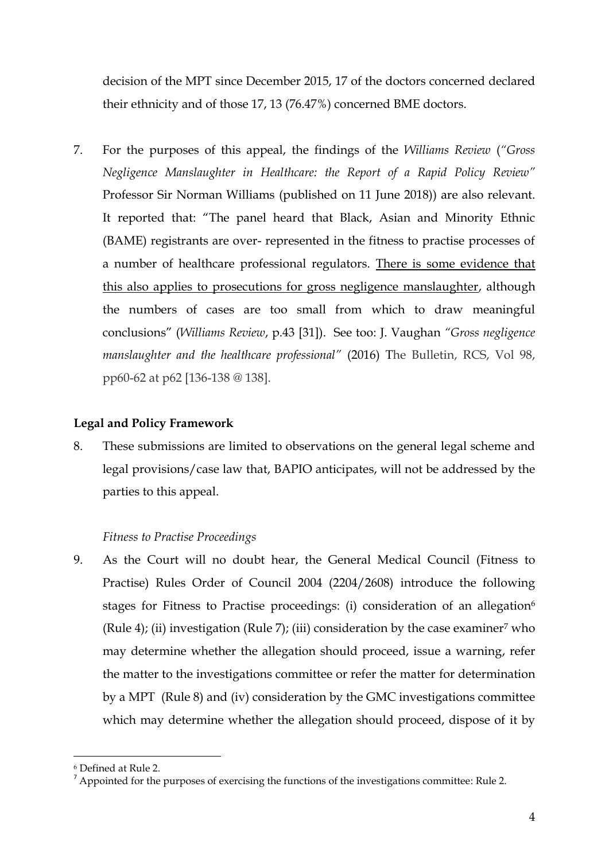decision of the MPT since December 2015, 17 of the doctors concerned declared their ethnicity and of those 17, 13 (76.47%) concerned BME doctors.

7. For the purposes of this appeal, the findings of the *Williams Review* (*"Gross Negligence Manslaughter in Healthcare: the Report of a Rapid Policy Review"*  Professor Sir Norman Williams (published on 11 June 2018)) are also relevant. It reported that: "The panel heard that Black, Asian and Minority Ethnic (BAME) registrants are over- represented in the fitness to practise processes of a number of healthcare professional regulators. There is some evidence that this also applies to prosecutions for gross negligence manslaughter, although the numbers of cases are too small from which to draw meaningful conclusions" (*Williams Review*, p.43 [31]). See too: J. Vaughan *"Gross negligence manslaughter and the healthcare professional"* (2016) The Bulletin, RCS, Vol 98, pp60-62 at p62 [136-138 @ 138].

# **Legal and Policy Framework**

8. These submissions are limited to observations on the general legal scheme and legal provisions/case law that, BAPIO anticipates, will not be addressed by the parties to this appeal.

# *Fitness to Practise Proceedings*

9. As the Court will no doubt hear, the General Medical Council (Fitness to Practise) Rules Order of Council 2004 (2204/2608) introduce the following stages for Fitness to Practise proceedings: (i) consideration of an allegation<sup>6</sup> (Rule 4); (ii) investigation (Rule 7); (iii) consideration by the case examiner<sup>7</sup> who may determine whether the allegation should proceed, issue a warning, refer the matter to the investigations committee or refer the matter for determination by a MPT (Rule 8) and (iv) consideration by the GMC investigations committee which may determine whether the allegation should proceed, dispose of it by

**.** 

<sup>6</sup> Defined at Rule 2.

<sup>&</sup>lt;sup>7</sup> Appointed for the purposes of exercising the functions of the investigations committee: Rule 2.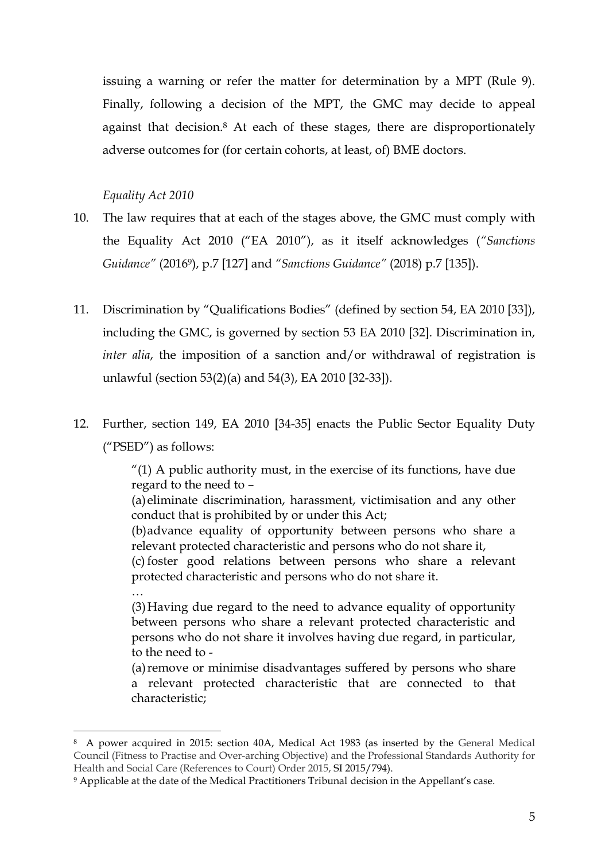issuing a warning or refer the matter for determination by a MPT (Rule 9). Finally, following a decision of the MPT, the GMC may decide to appeal against that decision.<sup>8</sup> At each of these stages, there are disproportionately adverse outcomes for (for certain cohorts, at least, of) BME doctors.

### *Equality Act 2010*

- 10. The law requires that at each of the stages above, the GMC must comply with the Equality Act 2010 ("EA 2010"), as it itself acknowledges (*"Sanctions Guidance"* (20169), p.7 [127] and *"Sanctions Guidance"* (2018) p.7 [135]).
- 11. Discrimination by "Qualifications Bodies" (defined by section 54, EA 2010 [33]), including the GMC, is governed by section 53 EA 2010 [32]. Discrimination in, *inter alia*, the imposition of a sanction and/or withdrawal of registration is unlawful (section 53(2)(a) and 54(3), EA 2010 [32-33]).
- 12. Further, section 149, EA 2010 [34-35] enacts the Public Sector Equality Duty ("PSED") as follows:

 $''(1)$  A public authority must, in the exercise of its functions, have due regard to the need to –

(a)eliminate discrimination, harassment, victimisation and any other conduct that is prohibited by or under this Act;

(b)advance equality of opportunity between persons who share a relevant protected characteristic and persons who do not share it,

(c) foster good relations between persons who share a relevant protected characteristic and persons who do not share it.

…

**.** 

(3)Having due regard to the need to advance equality of opportunity between persons who share a relevant protected characteristic and persons who do not share it involves having due regard, in particular, to the need to -

(a)remove or minimise disadvantages suffered by persons who share a relevant protected characteristic that are connected to that characteristic;

<sup>8</sup> A power acquired in 2015: section 40A, Medical Act 1983 (as inserted by the General Medical Council (Fitness to Practise and Over-arching Objective) and the Professional Standards Authority for Health and Social Care (References to Court) Order 2015, SI 2015/794).

<sup>9</sup> Applicable at the date of the Medical Practitioners Tribunal decision in the Appellant's case.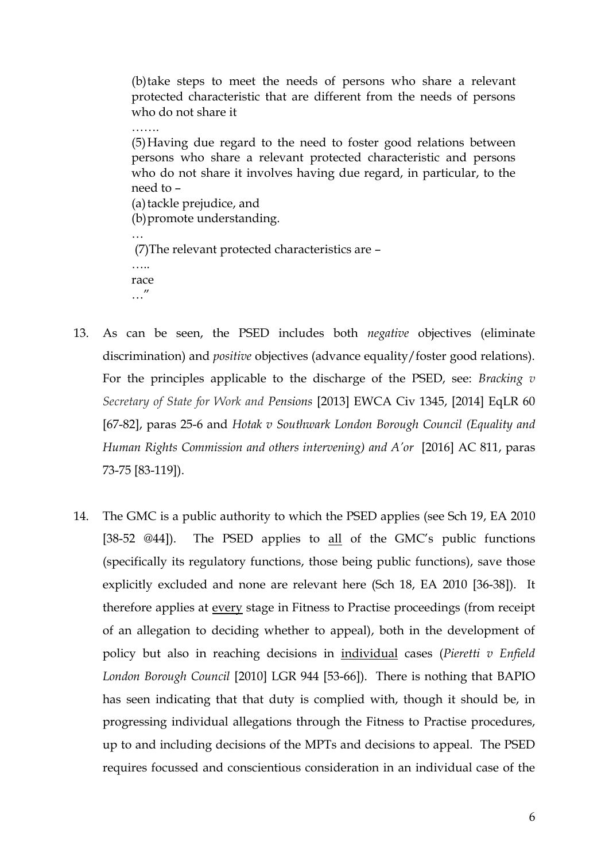(b)take steps to meet the needs of persons who share a relevant protected characteristic that are different from the needs of persons who do not share it

(5)Having due regard to the need to foster good relations between persons who share a relevant protected characteristic and persons who do not share it involves having due regard, in particular, to the need to – (a) tackle prejudice, and (b)promote understanding. …

(7)The relevant protected characteristics are – ……

race …"

- 13. As can be seen, the PSED includes both *negative* objectives (eliminate discrimination) and *positive* objectives (advance equality/foster good relations). For the principles applicable to the discharge of the PSED, see: *Bracking v Secretary of State for Work and Pensions* [\[2013\] EWCA Civ 1345,](https://www.lexisnexis.com/uk/legal/search/enhRunRemoteLink.do?A=0.16429282442445192&service=citation&langcountry=GB&backKey=20_T24505807296&linkInfo=F%23GB%23EWCACIV%23sel1%252013%25page%251345%25year%252013%25&ersKey=23_T24505807212) [2014] EqLR 60 [67-82], paras 25-6 and *Hotak v Southwark London Borough Council (Equality and Human Rights Commission and others intervening) and A'or* [2016] AC 811, paras 73-75 [83-119]).
- 14. The GMC is a public authority to which the PSED applies (see Sch 19, EA 2010 [38-52 @44]). The PSED applies to all of the GMC's public functions (specifically its regulatory functions, those being public functions), save those explicitly excluded and none are relevant here (Sch 18, EA 2010 [36-38]). It therefore applies at every stage in Fitness to Practise proceedings (from receipt of an allegation to deciding whether to appeal), both in the development of policy but also in reaching decisions in individual cases (*Pieretti v Enfield London Borough Council* [2010] LGR 944 [53-66]). There is nothing that BAPIO has seen indicating that that duty is complied with, though it should be, in progressing individual allegations through the Fitness to Practise procedures, up to and including decisions of the MPTs and decisions to appeal. The PSED requires focussed and conscientious consideration in an individual case of the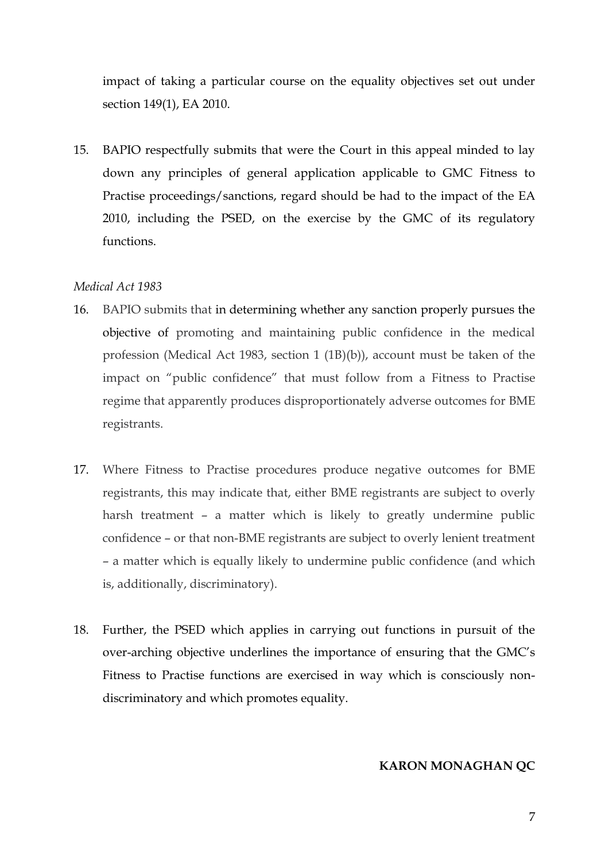impact of taking a particular course on the equality objectives set out under section 149(1), EA 2010.

15. BAPIO respectfully submits that were the Court in this appeal minded to lay down any principles of general application applicable to GMC Fitness to Practise proceedings/sanctions, regard should be had to the impact of the EA 2010, including the PSED, on the exercise by the GMC of its regulatory functions.

#### *Medical Act 1983*

- 16. BAPIO submits that in determining whether any sanction properly pursues the objective of promoting and maintaining public confidence in the medical profession (Medical Act 1983, section 1 (1B)(b)), account must be taken of the impact on "public confidence" that must follow from a Fitness to Practise regime that apparently produces disproportionately adverse outcomes for BME registrants.
- 17. Where Fitness to Practise procedures produce negative outcomes for BME registrants, this may indicate that, either BME registrants are subject to overly harsh treatment – a matter which is likely to greatly undermine public confidence – or that non-BME registrants are subject to overly lenient treatment – a matter which is equally likely to undermine public confidence (and which is, additionally, discriminatory).
- 18. Further, the PSED which applies in carrying out functions in pursuit of the over-arching objective underlines the importance of ensuring that the GMC's Fitness to Practise functions are exercised in way which is consciously nondiscriminatory and which promotes equality.

#### **KARON MONAGHAN QC**